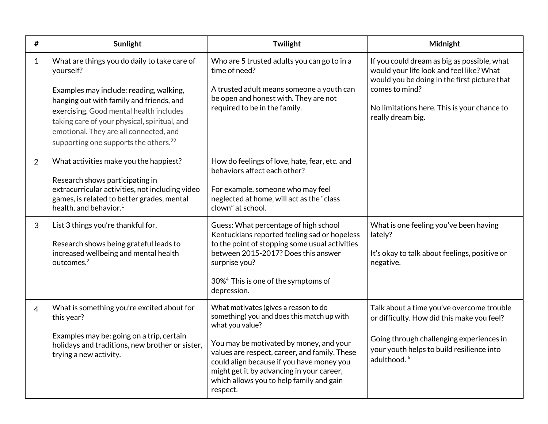| #              | Sunlight                                                                                                                                                                                                                                                                                                                                   | Twilight                                                                                                                                                                                                                                                                                                                                            | Midnight                                                                                                                                                                                                                      |
|----------------|--------------------------------------------------------------------------------------------------------------------------------------------------------------------------------------------------------------------------------------------------------------------------------------------------------------------------------------------|-----------------------------------------------------------------------------------------------------------------------------------------------------------------------------------------------------------------------------------------------------------------------------------------------------------------------------------------------------|-------------------------------------------------------------------------------------------------------------------------------------------------------------------------------------------------------------------------------|
| $\mathbf{1}$   | What are things you do daily to take care of<br>yourself?<br>Examples may include: reading, walking,<br>hanging out with family and friends, and<br>exercising. Good mental health includes<br>taking care of your physical, spiritual, and<br>emotional. They are all connected, and<br>supporting one supports the others. <sup>22</sup> | Who are 5 trusted adults you can go to in a<br>time of need?<br>A trusted adult means someone a youth can<br>be open and honest with. They are not<br>required to be in the family.                                                                                                                                                                 | If you could dream as big as possible, what<br>would your life look and feel like? What<br>would you be doing in the first picture that<br>comes to mind?<br>No limitations here. This is your chance to<br>really dream big. |
| $\overline{2}$ | What activities make you the happiest?<br>Research shows participating in<br>extracurricular activities, not including video<br>games, is related to better grades, mental<br>health, and behavior. <sup>1</sup>                                                                                                                           | How do feelings of love, hate, fear, etc. and<br>behaviors affect each other?<br>For example, someone who may feel<br>neglected at home, will act as the "class<br>clown" at school.                                                                                                                                                                |                                                                                                                                                                                                                               |
| $\mathbf{3}$   | List 3 things you're thankful for.<br>Research shows being grateful leads to<br>increased wellbeing and mental health<br>outcomes. <sup>2</sup>                                                                                                                                                                                            | Guess: What percentage of high school<br>Kentuckians reported feeling sad or hopeless<br>to the point of stopping some usual activities<br>between 2015-2017? Does this answer<br>surprise you?<br>30% <sup>4</sup> This is one of the symptoms of<br>depression.                                                                                   | What is one feeling you've been having<br>lately?<br>It's okay to talk about feelings, positive or<br>negative.                                                                                                               |
| $\overline{4}$ | What is something you're excited about for<br>this year?<br>Examples may be: going on a trip, certain<br>holidays and traditions, new brother or sister,<br>trying a new activity.                                                                                                                                                         | What motivates (gives a reason to do<br>something) you and does this match up with<br>what you value?<br>You may be motivated by money, and your<br>values are respect, career, and family. These<br>could align because if you have money you<br>might get it by advancing in your career,<br>which allows you to help family and gain<br>respect. | Talk about a time you've overcome trouble<br>or difficulty. How did this make you feel?<br>Going through challenging experiences in<br>your youth helps to build resilience into<br>adulthood. <sup>6</sup>                   |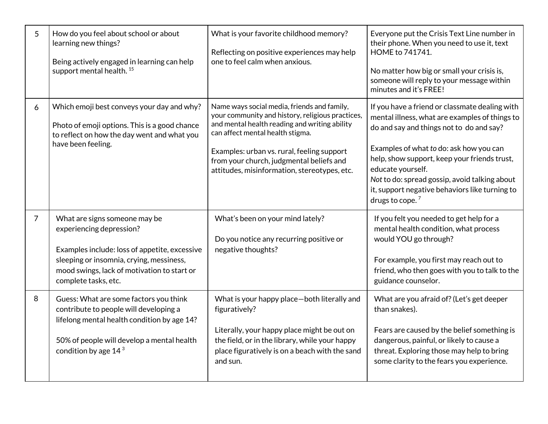| 5              | How do you feel about school or about<br>learning new things?<br>Being actively engaged in learning can help<br>support mental health. <sup>15</sup>                                                                          | What is your favorite childhood memory?<br>Reflecting on positive experiences may help<br>one to feel calm when anxious.                                                                                                                                                                                                       | Everyone put the Crisis Text Line number in<br>their phone. When you need to use it, text<br>HOME to 741741.<br>No matter how big or small your crisis is,<br>someone will reply to your message within<br>minutes and it's FREE!                                                                                                                                                     |
|----------------|-------------------------------------------------------------------------------------------------------------------------------------------------------------------------------------------------------------------------------|--------------------------------------------------------------------------------------------------------------------------------------------------------------------------------------------------------------------------------------------------------------------------------------------------------------------------------|---------------------------------------------------------------------------------------------------------------------------------------------------------------------------------------------------------------------------------------------------------------------------------------------------------------------------------------------------------------------------------------|
| 6              | Which emoji best conveys your day and why?<br>Photo of emoji options. This is a good chance<br>to reflect on how the day went and what you<br>have been feeling.                                                              | Name ways social media, friends and family,<br>your community and history, religious practices,<br>and mental health reading and writing ability<br>can affect mental health stigma.<br>Examples: urban vs. rural, feeling support<br>from your church, judgmental beliefs and<br>attitudes, misinformation, stereotypes, etc. | If you have a friend or classmate dealing with<br>mental illness, what are examples of things to<br>do and say and things not to do and say?<br>Examples of what to do: ask how you can<br>help, show support, keep your friends trust,<br>educate yourself.<br>Not to do: spread gossip, avoid talking about<br>it, support negative behaviors like turning to<br>drugs to cope. $7$ |
| $\overline{7}$ | What are signs someone may be<br>experiencing depression?<br>Examples include: loss of appetite, excessive<br>sleeping or insomnia, crying, messiness,<br>mood swings, lack of motivation to start or<br>complete tasks, etc. | What's been on your mind lately?<br>Do you notice any recurring positive or<br>negative thoughts?                                                                                                                                                                                                                              | If you felt you needed to get help for a<br>mental health condition, what process<br>would YOU go through?<br>For example, you first may reach out to<br>friend, who then goes with you to talk to the<br>guidance counselor.                                                                                                                                                         |
| 8              | Guess: What are some factors you think<br>contribute to people will developing a<br>lifelong mental health condition by age 14?<br>50% of people will develop a mental health<br>condition by age $143$                       | What is your happy place-both literally and<br>figuratively?<br>Literally, your happy place might be out on<br>the field, or in the library, while your happy<br>place figuratively is on a beach with the sand<br>and sun.                                                                                                    | What are you afraid of? (Let's get deeper<br>than snakes).<br>Fears are caused by the belief something is<br>dangerous, painful, or likely to cause a<br>threat. Exploring those may help to bring<br>some clarity to the fears you experience.                                                                                                                                       |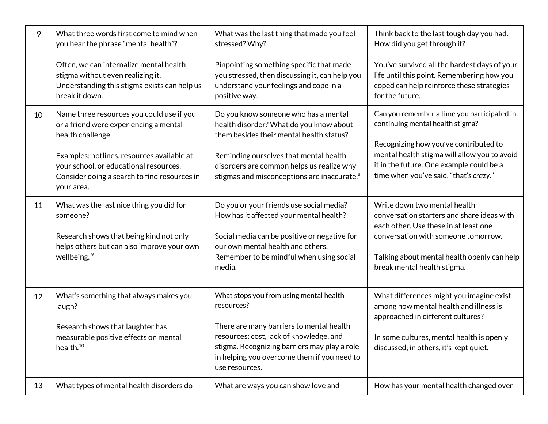| 9  | What three words first come to mind when<br>you hear the phrase "mental health"?                                                                                                                                                                               | What was the last thing that made you feel<br>stressed? Why?                                                                                                                                                                                                                  | Think back to the last tough day you had.<br>How did you get through it?                                                                                                                                                                                       |
|----|----------------------------------------------------------------------------------------------------------------------------------------------------------------------------------------------------------------------------------------------------------------|-------------------------------------------------------------------------------------------------------------------------------------------------------------------------------------------------------------------------------------------------------------------------------|----------------------------------------------------------------------------------------------------------------------------------------------------------------------------------------------------------------------------------------------------------------|
|    | Often, we can internalize mental health<br>stigma without even realizing it.<br>Understanding this stigma exists can help us<br>break it down.                                                                                                                 | Pinpointing something specific that made<br>you stressed, then discussing it, can help you<br>understand your feelings and cope in a<br>positive way.                                                                                                                         | You've survived all the hardest days of your<br>life until this point. Remembering how you<br>coped can help reinforce these strategies<br>for the future.                                                                                                     |
| 10 | Name three resources you could use if you<br>or a friend were experiencing a mental<br>health challenge.<br>Examples: hotlines, resources available at<br>your school, or educational resources.<br>Consider doing a search to find resources in<br>your area. | Do you know someone who has a mental<br>health disorder? What do you know about<br>them besides their mental health status?<br>Reminding ourselves that mental health<br>disorders are common helps us realize why<br>stigmas and misconceptions are inaccurate. <sup>8</sup> | Can you remember a time you participated in<br>continuing mental health stigma?<br>Recognizing how you've contributed to<br>mental health stigma will allow you to avoid<br>it in the future. One example could be a<br>time when you've said, "that's crazy." |
| 11 | What was the last nice thing you did for<br>someone?<br>Research shows that being kind not only<br>helps others but can also improve your own<br>wellbeing. <sup>9</sup>                                                                                       | Do you or your friends use social media?<br>How has it affected your mental health?<br>Social media can be positive or negative for<br>our own mental health and others.<br>Remember to be mindful when using social<br>media.                                                | Write down two mental health<br>conversation starters and share ideas with<br>each other. Use these in at least one<br>conversation with someone tomorrow.<br>Talking about mental health openly can help<br>break mental health stigma.                       |
| 12 | What's something that always makes you<br>laugh?<br>Research shows that laughter has<br>measurable positive effects on mental<br>health. <sup>10</sup>                                                                                                         | What stops you from using mental health<br>resources?<br>There are many barriers to mental health<br>resources: cost, lack of knowledge, and<br>stigma. Recognizing barriers may play a role<br>in helping you overcome them if you need to<br>use resources.                 | What differences might you imagine exist<br>among how mental health and illness is<br>approached in different cultures?<br>In some cultures, mental health is openly<br>discussed; in others, it's kept quiet.                                                 |
| 13 | What types of mental health disorders do                                                                                                                                                                                                                       | What are ways you can show love and                                                                                                                                                                                                                                           | How has your mental health changed over                                                                                                                                                                                                                        |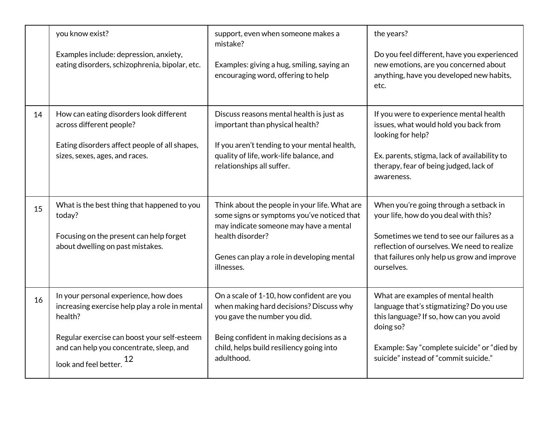|    | you know exist?<br>Examples include: depression, anxiety,<br>eating disorders, schizophrenia, bipolar, etc.                                                                                                                 | support, even when someone makes a<br>mistake?<br>Examples: giving a hug, smiling, saying an<br>encouraging word, offering to help                                                                                         | the years?<br>Do you feel different, have you experienced<br>new emotions, are you concerned about<br>anything, have you developed new habits,<br>etc.                                                                                    |
|----|-----------------------------------------------------------------------------------------------------------------------------------------------------------------------------------------------------------------------------|----------------------------------------------------------------------------------------------------------------------------------------------------------------------------------------------------------------------------|-------------------------------------------------------------------------------------------------------------------------------------------------------------------------------------------------------------------------------------------|
| 14 | How can eating disorders look different<br>across different people?<br>Eating disorders affect people of all shapes,<br>sizes, sexes, ages, and races.                                                                      | Discuss reasons mental health is just as<br>important than physical health?<br>If you aren't tending to your mental health,<br>quality of life, work-life balance, and<br>relationships all suffer.                        | If you were to experience mental health<br>issues, what would hold you back from<br>looking for help?<br>Ex. parents, stigma, lack of availability to<br>therapy, fear of being judged, lack of<br>awareness.                             |
| 15 | What is the best thing that happened to you<br>today?<br>Focusing on the present can help forget<br>about dwelling on past mistakes.                                                                                        | Think about the people in your life. What are<br>some signs or symptoms you've noticed that<br>may indicate someone may have a mental<br>health disorder?<br>Genes can play a role in developing mental<br>illnesses.      | When you're going through a setback in<br>your life, how do you deal with this?<br>Sometimes we tend to see our failures as a<br>reflection of ourselves. We need to realize<br>that failures only help us grow and improve<br>ourselves. |
| 16 | In your personal experience, how does<br>increasing exercise help play a role in mental<br>health?<br>Regular exercise can boost your self-esteem<br>and can help you concentrate, sleep, and<br>12<br>look and feel better | On a scale of 1-10, how confident are you<br>when making hard decisions? Discuss why<br>you gave the number you did.<br>Being confident in making decisions as a<br>child, helps build resiliency going into<br>adulthood. | What are examples of mental health<br>language that's stigmatizing? Do you use<br>this language? If so, how can you avoid<br>doing so?<br>Example: Say "complete suicide" or "died by<br>suicide" instead of "commit suicide."            |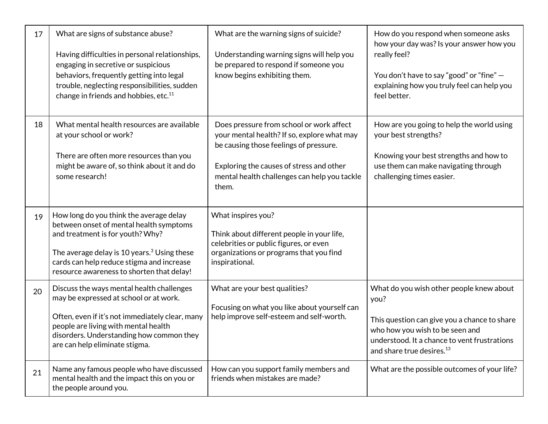| 17 | What are signs of substance abuse?<br>Having difficulties in personal relationships,<br>engaging in secretive or suspicious<br>behaviors, frequently getting into legal<br>trouble, neglecting responsibilities, sudden<br>change in friends and hobbies, etc. <sup>11</sup> | What are the warning signs of suicide?<br>Understanding warning signs will help you<br>be prepared to respond if someone you<br>know begins exhibiting them.                                                                           | How do you respond when someone asks<br>how your day was? Is your answer how you<br>really feel?<br>You don't have to say "good" or "fine" -<br>explaining how you truly feel can help you<br>feel better.                   |
|----|------------------------------------------------------------------------------------------------------------------------------------------------------------------------------------------------------------------------------------------------------------------------------|----------------------------------------------------------------------------------------------------------------------------------------------------------------------------------------------------------------------------------------|------------------------------------------------------------------------------------------------------------------------------------------------------------------------------------------------------------------------------|
| 18 | What mental health resources are available<br>at your school or work?<br>There are often more resources than you<br>might be aware of, so think about it and do<br>some research!                                                                                            | Does pressure from school or work affect<br>your mental health? If so, explore what may<br>be causing those feelings of pressure.<br>Exploring the causes of stress and other<br>mental health challenges can help you tackle<br>them. | How are you going to help the world using<br>your best strengths?<br>Knowing your best strengths and how to<br>use them can make navigating through<br>challenging times easier.                                             |
| 19 | How long do you think the average delay<br>between onset of mental health symptoms<br>and treatment is for youth? Why?<br>The average delay is 10 years. $3$ Using these<br>cards can help reduce stigma and increase<br>resource awareness to shorten that delay!           | What inspires you?<br>Think about different people in your life,<br>celebrities or public figures, or even<br>organizations or programs that you find<br>inspirational.                                                                |                                                                                                                                                                                                                              |
| 20 | Discuss the ways mental health challenges<br>may be expressed at school or at work.<br>Often, even if it's not immediately clear, many<br>people are living with mental health<br>disorders. Understanding how common they<br>are can help eliminate stigma.                 | What are your best qualities?<br>Focusing on what you like about yourself can<br>help improve self-esteem and self-worth.                                                                                                              | What do you wish other people knew about<br>you?<br>This question can give you a chance to share<br>who how you wish to be seen and<br>understood. It a chance to vent frustrations<br>and share true desires. <sup>13</sup> |
| 21 | Name any famous people who have discussed<br>mental health and the impact this on you or<br>the people around you.                                                                                                                                                           | How can you support family members and<br>friends when mistakes are made?                                                                                                                                                              | What are the possible outcomes of your life?                                                                                                                                                                                 |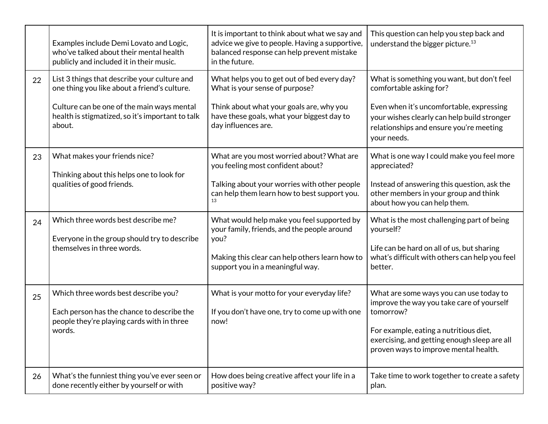|    | Examples include Demi Lovato and Logic,<br>who've talked about their mental health<br>publicly and included it in their music.                                                                           | It is important to think about what we say and<br>advice we give to people. Having a supportive,<br>balanced response can help prevent mistake<br>in the future.                               | This question can help you step back and<br>understand the bigger picture. <sup>13</sup>                                                                                                                                             |
|----|----------------------------------------------------------------------------------------------------------------------------------------------------------------------------------------------------------|------------------------------------------------------------------------------------------------------------------------------------------------------------------------------------------------|--------------------------------------------------------------------------------------------------------------------------------------------------------------------------------------------------------------------------------------|
| 22 | List 3 things that describe your culture and<br>one thing you like about a friend's culture.<br>Culture can be one of the main ways mental<br>health is stigmatized, so it's important to talk<br>about. | What helps you to get out of bed every day?<br>What is your sense of purpose?<br>Think about what your goals are, why you<br>have these goals, what your biggest day to<br>day influences are. | What is something you want, but don't feel<br>comfortable asking for?<br>Even when it's uncomfortable, expressing<br>your wishes clearly can help build stronger<br>relationships and ensure you're meeting<br>your needs.           |
| 23 | What makes your friends nice?<br>Thinking about this helps one to look for<br>qualities of good friends.                                                                                                 | What are you most worried about? What are<br>you feeling most confident about?<br>Talking about your worries with other people<br>can help them learn how to best support you.<br>13           | What is one way I could make you feel more<br>appreciated?<br>Instead of answering this question, ask the<br>other members in your group and think<br>about how you can help them.                                                   |
| 24 | Which three words best describe me?<br>Everyone in the group should try to describe<br>themselves in three words.                                                                                        | What would help make you feel supported by<br>your family, friends, and the people around<br>you?<br>Making this clear can help others learn how to<br>support you in a meaningful way.        | What is the most challenging part of being<br>yourself?<br>Life can be hard on all of us, but sharing<br>what's difficult with others can help you feel<br>better.                                                                   |
| 25 | Which three words best describe you?<br>Each person has the chance to describe the<br>people they're playing cards with in three<br>words.                                                               | What is your motto for your everyday life?<br>If you don't have one, try to come up with one<br>now!                                                                                           | What are some ways you can use today to<br>improve the way you take care of yourself<br>tomorrow?<br>For example, eating a nutritious diet,<br>exercising, and getting enough sleep are all<br>proven ways to improve mental health. |
| 26 | What's the funniest thing you've ever seen or<br>done recently either by yourself or with                                                                                                                | How does being creative affect your life in a<br>positive way?                                                                                                                                 | Take time to work together to create a safety<br>plan.                                                                                                                                                                               |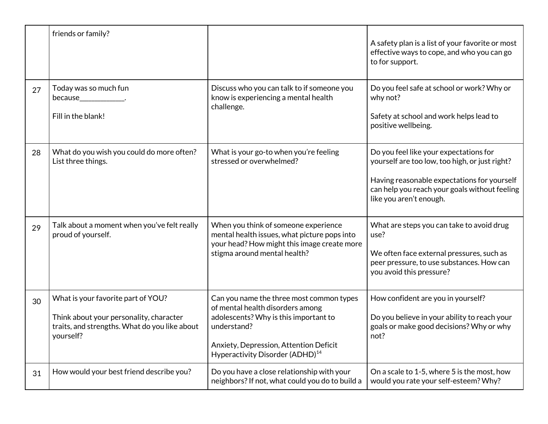|    | friends or family?                                                                                                                          |                                                                                                                                                                                                                               | A safety plan is a list of your favorite or most<br>effective ways to cope, and who you can go<br>to for support.                                                                                                   |
|----|---------------------------------------------------------------------------------------------------------------------------------------------|-------------------------------------------------------------------------------------------------------------------------------------------------------------------------------------------------------------------------------|---------------------------------------------------------------------------------------------------------------------------------------------------------------------------------------------------------------------|
| 27 | Today was so much fun<br>because_______________.<br>Fill in the blank!                                                                      | Discuss who you can talk to if someone you<br>know is experiencing a mental health<br>challenge.                                                                                                                              | Do you feel safe at school or work? Why or<br>why not?<br>Safety at school and work helps lead to<br>positive wellbeing.                                                                                            |
| 28 | What do you wish you could do more often?<br>List three things.                                                                             | What is your go-to when you're feeling<br>stressed or overwhelmed?                                                                                                                                                            | Do you feel like your expectations for<br>yourself are too low, too high, or just right?<br>Having reasonable expectations for yourself<br>can help you reach your goals without feeling<br>like you aren't enough. |
| 29 | Talk about a moment when you've felt really<br>proud of yourself.                                                                           | When you think of someone experience<br>mental health issues, what picture pops into<br>your head? How might this image create more<br>stigma around mental health?                                                           | What are steps you can take to avoid drug<br>use?<br>We often face external pressures, such as<br>peer pressure, to use substances. How can<br>you avoid this pressure?                                             |
| 30 | What is your favorite part of YOU?<br>Think about your personality, character<br>traits, and strengths. What do you like about<br>yourself? | Can you name the three most common types<br>of mental health disorders among<br>adolescents? Why is this important to<br>understand?<br>Anxiety, Depression, Attention Deficit<br>Hyperactivity Disorder (ADHD) <sup>14</sup> | How confident are you in yourself?<br>Do you believe in your ability to reach your<br>goals or make good decisions? Why or why<br>not?                                                                              |
| 31 | How would your best friend describe you?                                                                                                    | Do you have a close relationship with your<br>neighbors? If not, what could you do to build a                                                                                                                                 | On a scale to 1-5, where 5 is the most, how<br>would you rate your self-esteem? Why?                                                                                                                                |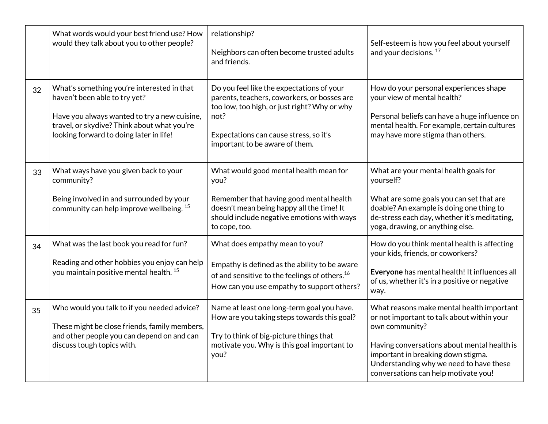|    | What words would your best friend use? How<br>would they talk about you to other people?                                                                                                                              | relationship?<br>Neighbors can often become trusted adults<br>and friends.                                                                                                                                                   | Self-esteem is how you feel about yourself<br>and your decisions. <sup>17</sup>                                                                                                                                                                                                   |
|----|-----------------------------------------------------------------------------------------------------------------------------------------------------------------------------------------------------------------------|------------------------------------------------------------------------------------------------------------------------------------------------------------------------------------------------------------------------------|-----------------------------------------------------------------------------------------------------------------------------------------------------------------------------------------------------------------------------------------------------------------------------------|
| 32 | What's something you're interested in that<br>haven't been able to try yet?<br>Have you always wanted to try a new cuisine,<br>travel, or skydive? Think about what you're<br>looking forward to doing later in life! | Do you feel like the expectations of your<br>parents, teachers, coworkers, or bosses are<br>too low, too high, or just right? Why or why<br>not?<br>Expectations can cause stress, so it's<br>important to be aware of them. | How do your personal experiences shape<br>your view of mental health?<br>Personal beliefs can have a huge influence on<br>mental health. For example, certain cultures<br>may have more stigma than others.                                                                       |
| 33 | What ways have you given back to your<br>community?<br>Being involved in and surrounded by your<br>community can help improve wellbeing. <sup>15</sup>                                                                | What would good mental health mean for<br>you?<br>Remember that having good mental health<br>doesn't mean being happy all the time! It<br>should include negative emotions with ways<br>to cope, too.                        | What are your mental health goals for<br>yourself?<br>What are some goals you can set that are<br>doable? An example is doing one thing to<br>de-stress each day, whether it's meditating,<br>yoga, drawing, or anything else.                                                    |
| 34 | What was the last book you read for fun?<br>Reading and other hobbies you enjoy can help<br>you maintain positive mental health. <sup>15</sup>                                                                        | What does empathy mean to you?<br>Empathy is defined as the ability to be aware<br>of and sensitive to the feelings of others. <sup>16</sup><br>How can you use empathy to support others?                                   | How do you think mental health is affecting<br>your kids, friends, or coworkers?<br>Everyone has mental health! It influences all<br>of us, whether it's in a positive or negative<br>way.                                                                                        |
| 35 | Who would you talk to if you needed advice?<br>These might be close friends, family members,<br>and other people you can depend on and can<br>discuss tough topics with.                                              | Name at least one long-term goal you have.<br>How are you taking steps towards this goal?<br>Try to think of big-picture things that<br>motivate you. Why is this goal important to<br>you?                                  | What reasons make mental health important<br>or not important to talk about within your<br>own community?<br>Having conversations about mental health is<br>important in breaking down stigma.<br>Understanding why we need to have these<br>conversations can help motivate you! |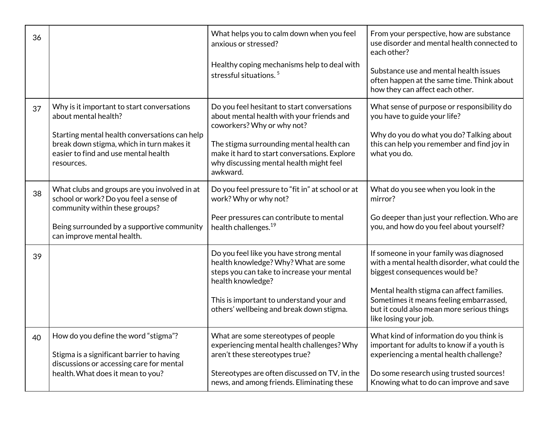| 36 |                                                                                                                                                                                                                        | What helps you to calm down when you feel<br>anxious or stressed?<br>Healthy coping mechanisms help to deal with                                                                                                                                              | From your perspective, how are substance<br>use disorder and mental health connected to<br>each other?<br>Substance use and mental health issues                                                                                                                                          |
|----|------------------------------------------------------------------------------------------------------------------------------------------------------------------------------------------------------------------------|---------------------------------------------------------------------------------------------------------------------------------------------------------------------------------------------------------------------------------------------------------------|-------------------------------------------------------------------------------------------------------------------------------------------------------------------------------------------------------------------------------------------------------------------------------------------|
|    |                                                                                                                                                                                                                        | stressful situations. <sup>5</sup>                                                                                                                                                                                                                            | often happen at the same time. Think about<br>how they can affect each other.                                                                                                                                                                                                             |
| 37 | Why is it important to start conversations<br>about mental health?<br>Starting mental health conversations can help<br>break down stigma, which in turn makes it<br>easier to find and use mental health<br>resources. | Do you feel hesitant to start conversations<br>about mental health with your friends and<br>coworkers? Why or why not?<br>The stigma surrounding mental health can<br>make it hard to start conversations. Explore<br>why discussing mental health might feel | What sense of purpose or responsibility do<br>you have to guide your life?<br>Why do you do what you do? Talking about<br>this can help you remember and find joy in<br>what you do.                                                                                                      |
| 38 | What clubs and groups are you involved in at<br>school or work? Do you feel a sense of<br>community within these groups?<br>Being surrounded by a supportive community<br>can improve mental health.                   | awkward.<br>Do you feel pressure to "fit in" at school or at<br>work? Why or why not?<br>Peer pressures can contribute to mental<br>health challenges. <sup>19</sup>                                                                                          | What do you see when you look in the<br>mirror?<br>Go deeper than just your reflection. Who are<br>you, and how do you feel about yourself?                                                                                                                                               |
| 39 |                                                                                                                                                                                                                        | Do you feel like you have strong mental<br>health knowledge? Why? What are some<br>steps you can take to increase your mental<br>health knowledge?<br>This is important to understand your and<br>others' wellbeing and break down stigma.                    | If someone in your family was diagnosed<br>with a mental health disorder, what could the<br>biggest consequences would be?<br>Mental health stigma can affect families.<br>Sometimes it means feeling embarrassed,<br>but it could also mean more serious things<br>like losing your job. |
| 40 | How do you define the word "stigma"?<br>Stigma is a significant barrier to having<br>discussions or accessing care for mental<br>health. What does it mean to you?                                                     | What are some stereotypes of people<br>experiencing mental health challenges? Why<br>aren't these stereotypes true?<br>Stereotypes are often discussed on TV, in the<br>news, and among friends. Eliminating these                                            | What kind of information do you think is<br>important for adults to know if a youth is<br>experiencing a mental health challenge?<br>Do some research using trusted sources!<br>Knowing what to do can improve and save                                                                   |